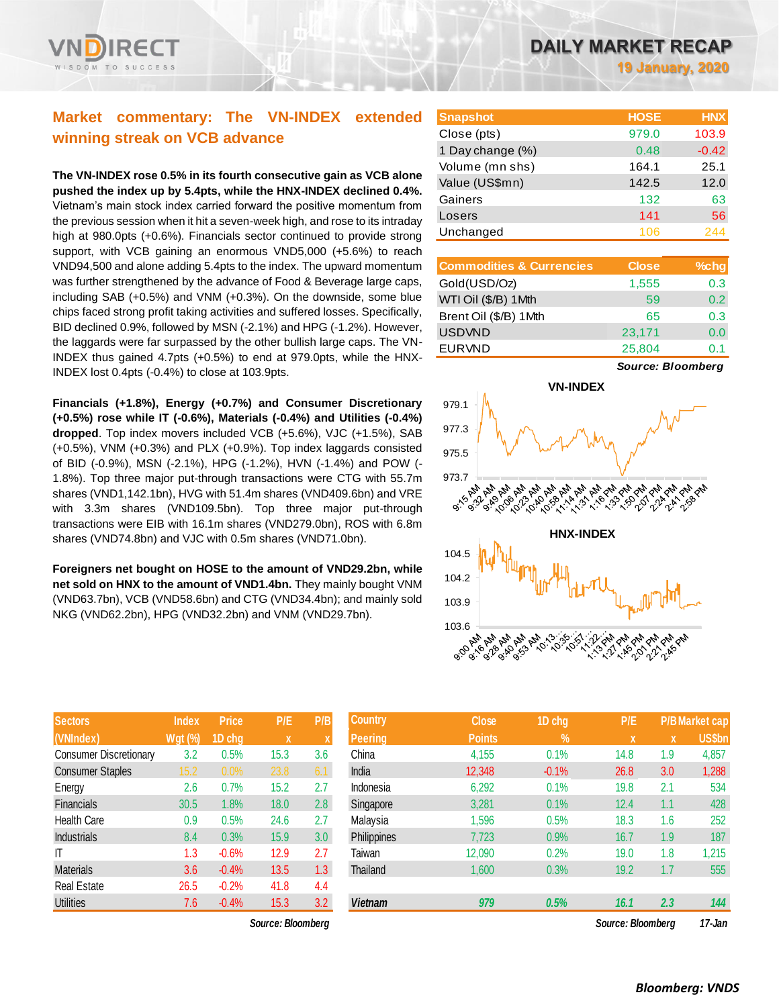# **Market commentary: The VN-INDEX extended winning streak on VCB advance**

**The VN-INDEX rose 0.5% in its fourth consecutive gain as VCB alone pushed the index up by 5.4pts, while the HNX-INDEX declined 0.4%.** Vietnam's main stock index carried forward the positive momentum from the previous session when it hit a seven-week high, and rose to its intraday high at 980.0pts (+0.6%). Financials sector continued to provide strong support, with VCB gaining an enormous VND5,000 (+5.6%) to reach VND94,500 and alone adding 5.4pts to the index. The upward momentum was further strengthened by the advance of Food & Beverage large caps, including SAB (+0.5%) and VNM (+0.3%). On the downside, some blue chips faced strong profit taking activities and suffered losses. Specifically, BID declined 0.9%, followed by MSN (-2.1%) and HPG (-1.2%). However, the laggards were far surpassed by the other bullish large caps. The VN-INDEX thus gained 4.7pts (+0.5%) to end at 979.0pts, while the HNX-INDEX lost 0.4pts (-0.4%) to close at 103.9pts.

**Financials (+1.8%), Energy (+0.7%) and Consumer Discretionary (+0.5%) rose while IT (-0.6%), Materials (-0.4%) and Utilities (-0.4%) dropped**. Top index movers included VCB (+5.6%), VJC (+1.5%), SAB (+0.5%), VNM (+0.3%) and PLX (+0.9%). Top index laggards consisted of BID (-0.9%), MSN (-2.1%), HPG (-1.2%), HVN (-1.4%) and POW (- 1.8%). Top three major put-through transactions were CTG with 55.7m shares (VND1,142.1bn), HVG with 51.4m shares (VND409.6bn) and VRE with 3.3m shares (VND109.5bn). Top three major put-through transactions were EIB with 16.1m shares (VND279.0bn), ROS with 6.8m shares (VND74.8bn) and VJC with 0.5m shares (VND71.0bn).

**Foreigners net bought on HOSE to the amount of VND29.2bn, while net sold on HNX to the amount of VND1.4bn.** They mainly bought VNM (VND63.7bn), VCB (VND58.6bn) and CTG (VND34.4bn); and mainly sold NKG (VND62.2bn), HPG (VND32.2bn) and VNM (VND29.7bn).

| <b>Sectors</b>                | <b>Index</b>   | <b>Price</b> | P/E  | P/B |
|-------------------------------|----------------|--------------|------|-----|
| (VNIndex)                     | <b>Wgt (%)</b> | 1D chg       | X    | X   |
| <b>Consumer Discretionary</b> | 3.2            | 0.5%         | 15.3 | 3.6 |
| <b>Consumer Staples</b>       | 15.2           | 0.0%         | 23.8 | 6.1 |
| Energy                        | 2.6            | 0.7%         | 15.2 | 2.7 |
| <b>Financials</b>             | 30.5           | 1.8%         | 18.0 | 2.8 |
| <b>Health Care</b>            | 0.9            | 0.5%         | 24.6 | 2.7 |
| Industrials                   | 8.4            | 0.3%         | 15.9 | 3.0 |
| ΙT                            | 1.3            | $-0.6%$      | 12.9 | 2.7 |
| <b>Materials</b>              | 3.6            | $-0.4%$      | 13.5 | 1.3 |
| <b>Real Estate</b>            | 26.5           | $-0.2%$      | 41.8 | 4.4 |
| <b>Utilities</b>              | 7.6            | $-0.4%$      | 15.3 | 3.2 |

*Source: Bloomberg Source: Bloomberg 17-Jan*

**19 January, 2020**

| <b>Snapshot</b>  | <b>HOSE</b> | <b>HNX</b> |
|------------------|-------------|------------|
| Close (pts)      | 979.0       | 103.9      |
| 1 Day change (%) | 0.48        | $-0.42$    |
| Volume (mn shs)  | 164.1       | 25.1       |
| Value (US\$mn)   | 142.5       | 12.0       |
| Gainers          | 132         | 63         |
| Losers           | 141         | 56         |
| Unchanged        | 106         | 244        |

| <b>Commodities &amp; Currencies</b> | <b>Close</b> | %chg             |
|-------------------------------------|--------------|------------------|
| Gold(USD/Oz)                        | 1,555        | 0.3              |
| WTI Oil (\$/B) 1Mth                 | 59           | 0.2 <sub>0</sub> |
| Brent Oil (\$/B) 1Mth               | 65           | 0.3              |
| <b>USDVND</b>                       | 23,171       | 0.0              |
| <b>EURVND</b>                       | 25,804       | () 1             |

*Source: Bloomberg*



| <b>Sectors</b>                | <b>Index</b>   | <b>Price</b> | P/E               | P/B              | <b>Country</b> | <b>Close</b>  | 1D chg        | P/E               |     | <b>P/B</b> Market cap |
|-------------------------------|----------------|--------------|-------------------|------------------|----------------|---------------|---------------|-------------------|-----|-----------------------|
| (VNIndex)                     | <b>Wgt (%)</b> | 1D cha       | $\mathbf{x}$      |                  | <b>Peering</b> | <b>Points</b> | $\frac{0}{0}$ | <b>X</b>          | X   | US\$bn                |
| <b>Consumer Discretionary</b> | 3.2            | 0.5%         | 15.3              | 3.6              | China          | 4,155         | 0.1%          | 14.8              | 1.9 | 4,857                 |
| <b>Consumer Staples</b>       | 15.2           | $0.0\%$      | 23.8              | 6.1              | India          | 12,348        | $-0.1%$       | 26.8              | 3.0 | 1,288                 |
| Energy                        | 2.6            | 0.7%         | 15.2              | 2.7              | Indonesia      | 6,292         | 0.1%          | 19.8              | 2.1 | 534                   |
| Financials                    | 30.5           | 1.8%         | 18.0              | 2.8              | Singapore      | 3,281         | 0.1%          | 12.4              | 1.1 | 428                   |
| Health Care                   | 0.9            | 0.5%         | 24.6              | 2.7              | Malaysia       | 1,596         | 0.5%          | 18.3              | 1.6 | 252                   |
| <b>Industrials</b>            | 8.4            | 0.3%         | 15.9              | 3.0              | Philippines    | 7,723         | 0.9%          | 16.7              | 1.9 | 187                   |
| ΙT                            | 1.3            | $-0.6%$      | 12.9              | 2.7              | Taiwan         | 12,090        | 0.2%          | 19.0              | 1.8 | 1,215                 |
| <b>Materials</b>              | 3.6            | $-0.4%$      | 13.5              | 1.3 <sup>°</sup> | Thailand       | 1,600         | 0.3%          | 19.2              | 1.7 | 555                   |
| Real Estate                   | 26.5           | $-0.2%$      | 41.8              | 4.4              |                |               |               |                   |     |                       |
| <b>Utilities</b>              | 7.6            | $-0.4%$      | 15.3              | 3.2              | <b>Vietnam</b> | 979           | 0.5%          | 16.1              | 2.3 | 144                   |
|                               |                |              | Source: Bloombera |                  |                |               |               | Source: Bloombera |     | 17-Jan                |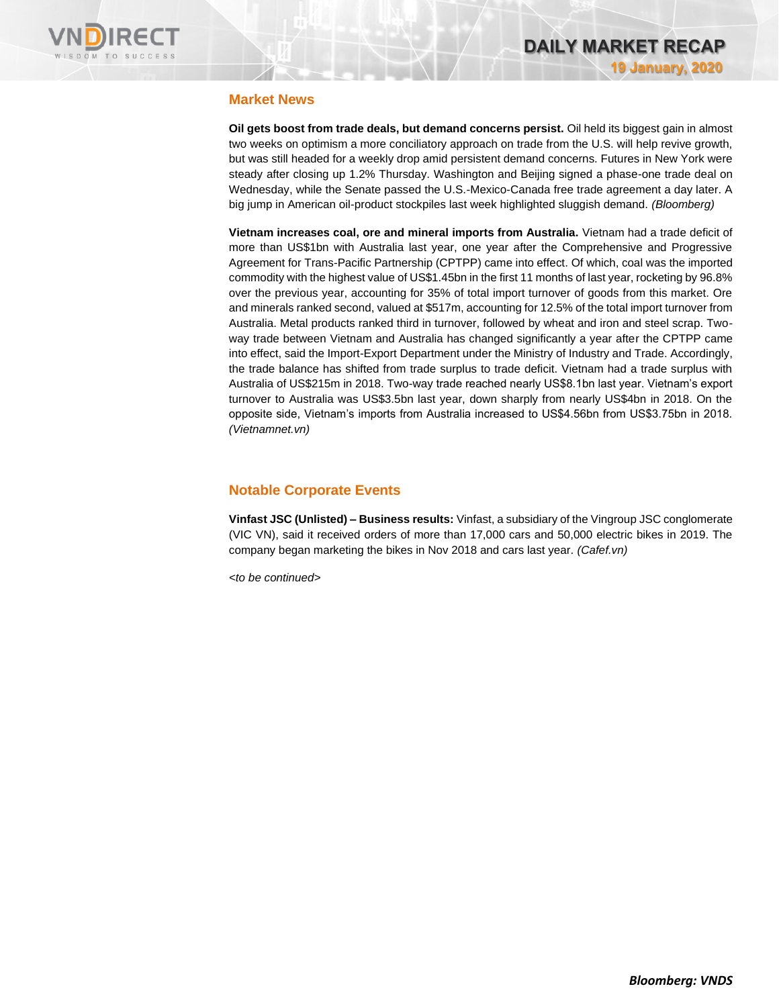

# **Market News**

**Oil gets boost from trade deals, but demand concerns persist.** Oil held its biggest gain in almost two weeks on optimism a more conciliatory approach on trade from the U.S. will help revive growth, but was still headed for a weekly drop amid persistent demand concerns. Futures in New York were steady after closing up 1.2% Thursday. Washington and Beijing signed a phase-one trade deal on Wednesday, while the Senate passed the U.S.-Mexico-Canada free trade agreement a day later. A big jump in American oil-product stockpiles last week highlighted sluggish demand. *(Bloomberg)*

**Vietnam increases coal, ore and mineral imports from Australia.** Vietnam had a trade deficit of more than US\$1bn with Australia last year, one year after the Comprehensive and Progressive Agreement for Trans-Pacific Partnership (CPTPP) came into effect. Of which, coal was the imported commodity with the highest value of US\$1.45bn in the first 11 months of last year, rocketing by 96.8% over the previous year, accounting for 35% of total import turnover of goods from this market. Ore and minerals ranked second, valued at \$517m, accounting for 12.5% of the total import turnover from Australia. Metal products ranked third in turnover, followed by wheat and iron and steel scrap. Twoway trade between Vietnam and Australia has changed significantly a year after the CPTPP came into effect, said the Import-Export Department under the Ministry of Industry and Trade. Accordingly, the trade balance has shifted from trade surplus to trade deficit. Vietnam had a trade surplus with Australia of US\$215m in 2018. Two-way trade reached nearly US\$8.1bn last year. Vietnam's export turnover to Australia was US\$3.5bn last year, down sharply from nearly US\$4bn in 2018. On the opposite side, Vietnam's imports from Australia increased to US\$4.56bn from US\$3.75bn in 2018. *(Vietnamnet.vn)*

# **Notable Corporate Events**

**Vinfast JSC (Unlisted) – Business results:** Vinfast, a subsidiary of the Vingroup JSC conglomerate (VIC VN), said it received orders of more than 17,000 cars and 50,000 electric bikes in 2019. The company began marketing the bikes in Nov 2018 and cars last year. *(Cafef.vn)*

*<to be continued>*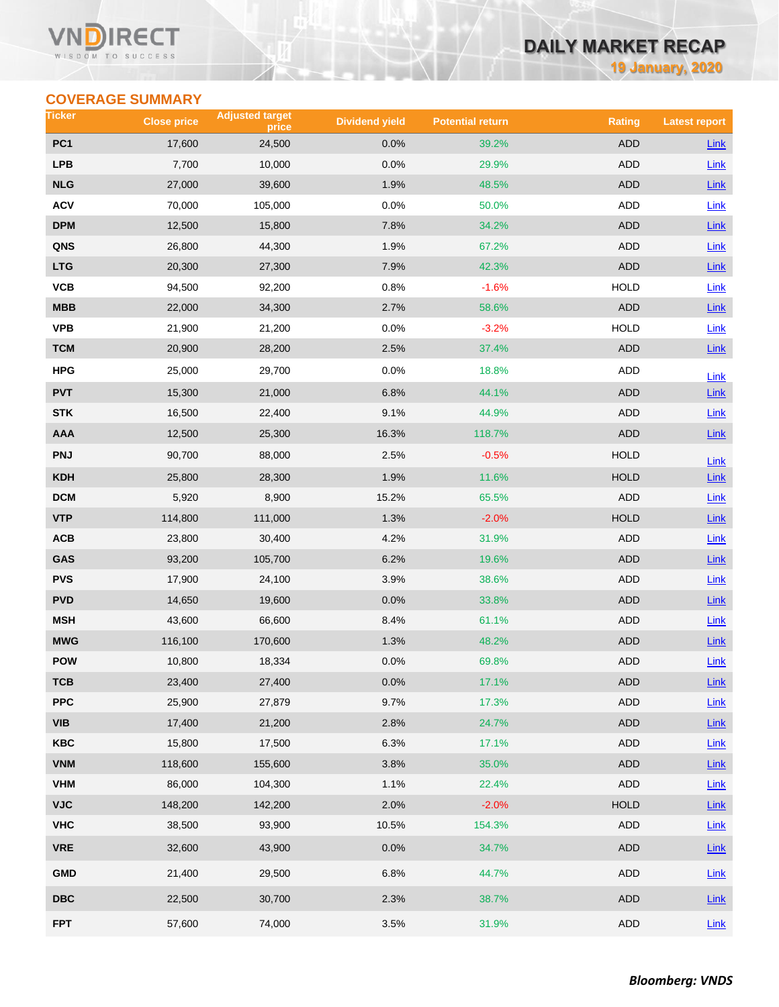### VN RECT WISDOM TO SUCCESS

# **DAILY MARKET RECAP**

**19 January, 2020**

# **COVERAGE SUMMARY**

| Ticker                  | <b>Close price</b> | <b>Adjusted target</b><br>price | <b>Dividend yield</b> | <b>Potential return</b> | <b>Rating</b> | <b>Latest report</b> |
|-------------------------|--------------------|---------------------------------|-----------------------|-------------------------|---------------|----------------------|
| PC <sub>1</sub>         | 17,600             | 24,500                          | 0.0%                  | 39.2%                   | <b>ADD</b>    | <b>Link</b>          |
| <b>LPB</b>              | 7,700              | 10,000                          | 0.0%                  | 29.9%                   | ADD           | Link                 |
| <b>NLG</b>              | 27,000             | 39,600                          | 1.9%                  | 48.5%                   | <b>ADD</b>    | Link                 |
| <b>ACV</b>              | 70,000             | 105,000                         | 0.0%                  | 50.0%                   | <b>ADD</b>    | Link                 |
| <b>DPM</b>              | 12,500             | 15,800                          | 7.8%                  | 34.2%                   | <b>ADD</b>    | $Link$               |
| QNS                     | 26,800             | 44,300                          | 1.9%                  | 67.2%                   | <b>ADD</b>    | Link                 |
| <b>LTG</b>              | 20,300             | 27,300                          | 7.9%                  | 42.3%                   | <b>ADD</b>    | Link                 |
| VCB                     | 94,500             | 92,200                          | 0.8%                  | $-1.6%$                 | <b>HOLD</b>   | Link                 |
| <b>MBB</b>              | 22,000             | 34,300                          | 2.7%                  | 58.6%                   | <b>ADD</b>    | Link                 |
| <b>VPB</b>              | 21,900             | 21,200                          | 0.0%                  | $-3.2%$                 | <b>HOLD</b>   | Link                 |
| <b>TCM</b>              | 20,900             | 28,200                          | 2.5%                  | 37.4%                   | <b>ADD</b>    | Link                 |
| <b>HPG</b>              | 25,000             | 29,700                          | 0.0%                  | 18.8%                   | ADD           | Link                 |
| <b>PVT</b>              | 15,300             | 21,000                          | 6.8%                  | 44.1%                   | <b>ADD</b>    | Link                 |
| <b>STK</b>              | 16,500             | 22,400                          | 9.1%                  | 44.9%                   | ADD           | Link                 |
| AAA                     | 12,500             | 25,300                          | 16.3%                 | 118.7%                  | <b>ADD</b>    | Link                 |
| <b>PNJ</b>              | 90,700             | 88,000                          | 2.5%                  | $-0.5%$                 | <b>HOLD</b>   | Link                 |
| <b>KDH</b>              | 25,800             | 28,300                          | 1.9%                  | 11.6%                   | <b>HOLD</b>   | $Link$               |
| <b>DCM</b>              | 5,920              | 8,900                           | 15.2%                 | 65.5%                   | <b>ADD</b>    | Link                 |
| <b>VTP</b>              | 114,800            | 111,000                         | 1.3%                  | $-2.0%$                 | <b>HOLD</b>   | $Link$               |
| ACB                     | 23,800             | 30,400                          | 4.2%                  | 31.9%                   | ADD           | <b>Link</b>          |
| GAS                     | 93,200             | 105,700                         | 6.2%                  | 19.6%                   | <b>ADD</b>    | $Link$               |
| <b>PVS</b>              | 17,900             | 24,100                          | 3.9%                  | 38.6%                   | <b>ADD</b>    | Link                 |
| <b>PVD</b>              | 14,650             | 19,600                          | 0.0%                  | 33.8%                   | <b>ADD</b>    | Link                 |
| <b>MSH</b>              | 43,600             | 66,600                          | 8.4%                  | 61.1%                   | ADD           | Link                 |
| <b>MWG</b>              | 116,100            | 170,600                         | 1.3%                  | 48.2%                   | <b>ADD</b>    | $Link$               |
| <b>POW</b>              | 10,800             | 18,334                          | 0.0%                  | 69.8%                   | ADD           | Link                 |
| тсв                     | 23,400             | 27,400                          | 0.0%                  | 17.1%                   | <b>ADD</b>    | $Link$               |
| <b>PPC</b>              | 25,900             | 27,879                          | 9.7%                  | 17.3%                   | <b>ADD</b>    | Link                 |
| <b>VIB</b>              | 17,400             | 21,200                          | 2.8%                  | 24.7%                   | ADD           | $Link$               |
| <b>KBC</b>              | 15,800             | 17,500                          | 6.3%                  | 17.1%                   | ADD           | Link                 |
| <b>VNM</b>              | 118,600            | 155,600                         | 3.8%                  | 35.0%                   | ADD           | Link                 |
| <b>VHM</b>              | 86,000             | 104,300                         | 1.1%                  | 22.4%                   | ADD           | Link                 |
| <b>VJC</b>              | 148,200            | 142,200                         | 2.0%                  | $-2.0%$                 | <b>HOLD</b>   | $Link$               |
| <b>VHC</b>              | 38,500             | 93,900                          | 10.5%                 | 154.3%                  | ADD           | Link                 |
| <b>VRE</b>              | 32,600             | 43,900                          | 0.0%                  | 34.7%                   | ADD           | Link                 |
| <b>GMD</b>              | 21,400             | 29,500                          | 6.8%                  | 44.7%                   | ADD           | Link                 |
| $\overline{\text{DBC}}$ | 22,500             | 30,700                          | 2.3%                  | 38.7%                   | ADD           | $Link$               |
| <b>FPT</b>              | 57,600             | 74,000                          | 3.5%                  | 31.9%                   | ADD           | Link                 |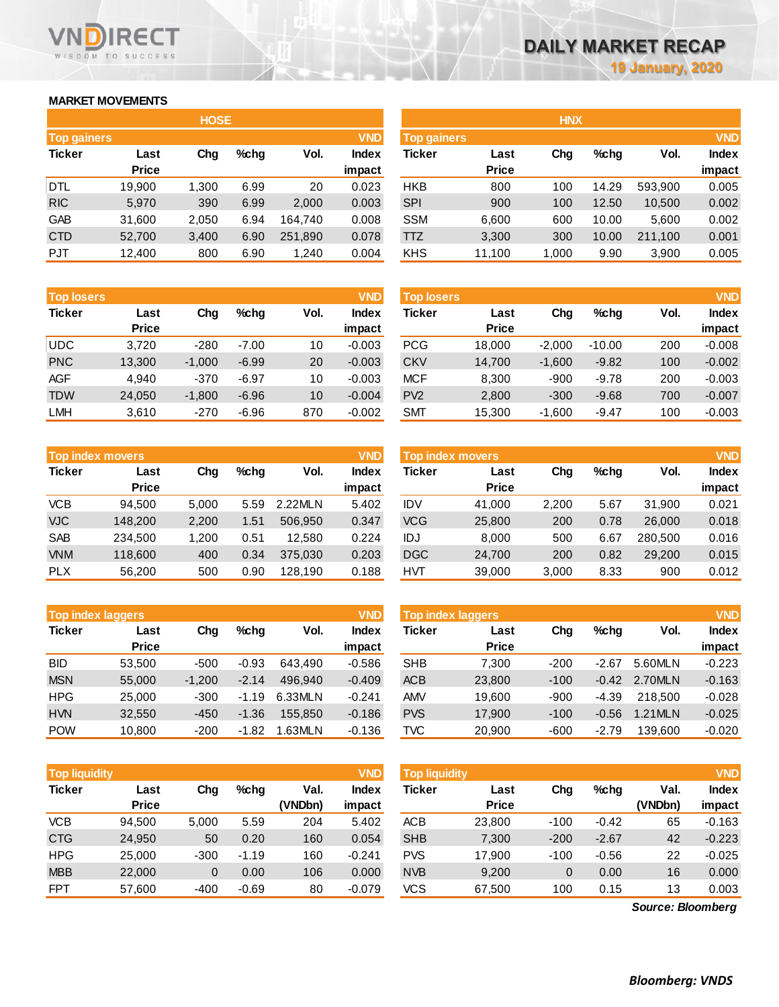# **MARKET MOVEMENTS**

WISDOM TO SUCCESS

RECT

|                    | <b>HOSE</b>  |       |      |         |              |  |  |  |  |  |  |  |  |
|--------------------|--------------|-------|------|---------|--------------|--|--|--|--|--|--|--|--|
| <b>Top gainers</b> |              |       |      |         | <b>VND</b>   |  |  |  |  |  |  |  |  |
| Ticker             | Last         | Cha   | %chq | Vol.    | <b>Index</b> |  |  |  |  |  |  |  |  |
|                    | <b>Price</b> |       |      |         | impact       |  |  |  |  |  |  |  |  |
| DTL                | 19,900       | 1,300 | 6.99 | 20      | 0.023        |  |  |  |  |  |  |  |  |
| <b>RIC</b>         | 5,970        | 390   | 6.99 | 2,000   | 0.003        |  |  |  |  |  |  |  |  |
| GAB                | 31,600       | 2,050 | 6.94 | 164,740 | 0.008        |  |  |  |  |  |  |  |  |
| <b>CTD</b>         | 52,700       | 3,400 | 6.90 | 251,890 | 0.078        |  |  |  |  |  |  |  |  |
| <b>PJT</b>         | 12,400       | 800   | 6.90 | 1,240   | 0.004        |  |  |  |  |  |  |  |  |

| <b>Top losers</b> |              |          |         |      | <b>VND</b>   |
|-------------------|--------------|----------|---------|------|--------------|
| <b>Ticker</b>     | Last         | Cha      | %chq    | Vol. | <b>Index</b> |
|                   | <b>Price</b> |          |         |      | impact       |
| <b>UDC</b>        | 3.720        | $-280$   | $-7.00$ | 10   | $-0.003$     |
| <b>PNC</b>        | 13,300       | $-1,000$ | $-6.99$ | 20   | $-0.003$     |
| AGF               | 4.940        | $-370$   | $-6.97$ | 10   | $-0.003$     |
| <b>TDW</b>        | 24,050       | $-1,800$ | $-6.96$ | 10   | $-0.004$     |
| <b>LMH</b>        | 3,610        | $-270$   | $-6.96$ | 870  | $-0.002$     |

|               | <b>Top index movers</b> |       |      |         | <b>VND</b>   |
|---------------|-------------------------|-------|------|---------|--------------|
| <b>Ticker</b> | Last                    | Cha   | %chq | Vol.    | <b>Index</b> |
|               | <b>Price</b>            |       |      |         | impact       |
| <b>VCB</b>    | 94,500                  | 5,000 | 5.59 | 2.22MLN | 5.402        |
| <b>VJC</b>    | 148,200                 | 2,200 | 1.51 | 506,950 | 0.347        |
| <b>SAB</b>    | 234,500                 | 1,200 | 0.51 | 12,580  | 0.224        |
| <b>VNM</b>    | 118,600                 | 400   | 0.34 | 375,030 | 0.203        |
| <b>PLX</b>    | 56,200                  | 500   | 0.90 | 128,190 | 0.188        |

| <b>Top index laggers</b> |              |          |         |         | <b>VND</b>   |
|--------------------------|--------------|----------|---------|---------|--------------|
| <b>Ticker</b>            | Last         | Cha      | %chq    | Vol.    | <b>Index</b> |
|                          | <b>Price</b> |          |         |         | impact       |
| <b>BID</b>               | 53,500       | -500     | $-0.93$ | 643.490 | $-0.586$     |
| <b>MSN</b>               | 55,000       | $-1,200$ | $-2.14$ | 496.940 | $-0.409$     |
| <b>HPG</b>               | 25,000       | $-300$   | $-1.19$ | 6.33MLN | $-0.241$     |
| <b>HVN</b>               | 32,550       | $-450$   | $-1.36$ | 155.850 | $-0.186$     |
| <b>POW</b>               | 10,800       | $-200$   | $-1.82$ | 1.63MLN | $-0.136$     |

| <b>Top liquidity</b> |                      |        |         |                 | <b>VND</b>      | <b>Top liquidity</b> |                      |        |         |                   |                 |
|----------------------|----------------------|--------|---------|-----------------|-----------------|----------------------|----------------------|--------|---------|-------------------|-----------------|
| <b>Ticker</b>        | Last<br><b>Price</b> | Chg    | $%$ chq | Val.<br>(VNDbn) | Index<br>impact | <b>Ticker</b>        | Last<br><b>Price</b> | Chg    | %chg    | Val.<br>(VNDbn)   | Index<br>impact |
| VCB                  | 94.500               | 5,000  | 5.59    | 204             | 5.402           | <b>ACB</b>           | 23,800               | $-100$ | $-0.42$ | 65                | $-0.163$        |
| <b>CTG</b>           | 24,950               | 50     | 0.20    | 160             | 0.054           | <b>SHB</b>           | 7,300                | $-200$ | $-2.67$ | 42                | $-0.223$        |
| <b>HPG</b>           | 25,000               | $-300$ | $-1.19$ | 160             | $-0.241$        | <b>PVS</b>           | 17,900               | $-100$ | $-0.56$ | 22                | $-0.025$        |
| <b>MBB</b>           | 22,000               | 0      | 0.00    | 106             | 0.000           | <b>NVB</b>           | 9,200                | 0      | 0.00    | 16                | 0.000           |
| <b>FPT</b>           | 57,600               | $-400$ | $-0.69$ | 80              | $-0.079$        | <b>VCS</b>           | 67,500               | 100    | 0.15    | 13                | 0.003           |
|                      |                      |        |         |                 |                 |                      |                      |        |         | Source: Bloomberg |                 |

|                    |              | <b>HOSE</b> |         |         |              | <b>HNX</b>         |              |       |       |         |              |
|--------------------|--------------|-------------|---------|---------|--------------|--------------------|--------------|-------|-------|---------|--------------|
| <b>Top gainers</b> |              |             |         |         | <b>VND</b>   | <b>Top gainers</b> |              |       |       |         | <b>VND</b>   |
| Ticker             | Last         | Chg         | $%$ chg | Vol.    | <b>Index</b> | Ticker             | Last         | Chg   | %chq  | Vol.    | <b>Index</b> |
|                    | <b>Price</b> |             |         |         | impact       |                    | <b>Price</b> |       |       |         | impact       |
| DTL                | 19,900       | 1,300       | 6.99    | 20      | 0.023        | <b>HKB</b>         | 800          | 100   | 14.29 | 593.900 | 0.005        |
| <b>RIC</b>         | 5.970        | 390         | 6.99    | 2,000   | 0.003        | <b>SPI</b>         | 900          | 100   | 12.50 | 10,500  | 0.002        |
| GAB                | 31,600       | 2,050       | 6.94    | 164.740 | 0.008        | <b>SSM</b>         | 6,600        | 600   | 10.00 | 5,600   | 0.002        |
| <b>CTD</b>         | 52,700       | 3,400       | 6.90    | 251,890 | 0.078        | TTZ                | 3,300        | 300   | 10.00 | 211,100 | 0.001        |
| PJT                | 12,400       | 800         | 6.90    | 1,240   | 0.004        | <b>KHS</b>         | 11,100       | 1,000 | 9.90  | 3,900   | 0.005        |

| <b>Top losers</b> |              |          |         |      | <b>VND</b>   | <b>VND</b><br><b>Top losers</b> |              |          |          |      |              |  |
|-------------------|--------------|----------|---------|------|--------------|---------------------------------|--------------|----------|----------|------|--------------|--|
| Ticker            | Last         | Chg      | $%$ chq | Vol. | <b>Index</b> | Ticker                          | Last         | Chg      | %chq     | Vol. | <b>Index</b> |  |
|                   | <b>Price</b> |          |         |      | impact       |                                 | <b>Price</b> |          |          |      | impact       |  |
| UDC               | 3.720        | $-280$   | $-7.00$ | 10   | $-0.003$     | <b>PCG</b>                      | 18,000       | $-2.000$ | $-10.00$ | 200  | $-0.008$     |  |
| <b>PNC</b>        | 13,300       | $-1.000$ | $-6.99$ | 20   | $-0.003$     | <b>CKV</b>                      | 14,700       | $-1.600$ | $-9.82$  | 100  | $-0.002$     |  |
| AGF               | 4.940        | $-370$   | $-6.97$ | 10   | $-0.003$     | <b>MCF</b>                      | 8,300        | $-900$   | $-9.78$  | 200  | $-0.003$     |  |
| <b>TDW</b>        | 24,050       | $-1,800$ | $-6.96$ | 10   | $-0.004$     | PV <sub>2</sub>                 | 2,800        | $-300$   | $-9.68$  | 700  | $-0.007$     |  |
| LMH               | 3,610        | $-270$   | $-6.96$ | 870  | $-0.002$     | <b>SMT</b>                      | 15,300       | $-1,600$ | $-9.47$  | 100  | $-0.003$     |  |

|            | Top index movers ' |       |      |         | <b>VND</b> | <b>Top index movers</b> |              | <b>VND</b> |      |         |              |
|------------|--------------------|-------|------|---------|------------|-------------------------|--------------|------------|------|---------|--------------|
| Ticker     | Last               | Chg   | %chq | Vol.    | Index      | Ticker                  | Last         | Chg        | %chq | Vol.    | <b>Index</b> |
|            | <b>Price</b>       |       |      |         | impact     |                         | <b>Price</b> |            |      |         | impact       |
| VCB        | 94.500             | 5.000 | 5.59 | 2.22MLN | 5.402      | IDV                     | 41,000       | 2.200      | 5.67 | 31.900  | 0.021        |
| <b>VJC</b> | 148,200            | 2,200 | 1.51 | 506.950 | 0.347      | <b>VCG</b>              | 25,800       | 200        | 0.78 | 26,000  | 0.018        |
| SAB        | 234.500            | 1.200 | 0.51 | 12.580  | 0.224      | IDJ                     | 8.000        | 500        | 6.67 | 280.500 | 0.016        |
| <b>VNM</b> | 118,600            | 400   | 0.34 | 375,030 | 0.203      | <b>DGC</b>              | 24,700       | 200        | 0.82 | 29,200  | 0.015        |
| PLX        | 56,200             | 500   | 0.90 | 128,190 | 0.188      | <b>HVT</b>              | 39,000       | 3,000      | 8.33 | 900     | 0.012        |

| <b>Top index laggers</b> |                      |          |         |         | <b>VND</b>      | <b>Top index laggers</b> |                      | <b>VND</b> |         |         |                        |
|--------------------------|----------------------|----------|---------|---------|-----------------|--------------------------|----------------------|------------|---------|---------|------------------------|
| Ticker                   | Last<br><b>Price</b> | Chg      | %chq    | Vol.    | Index<br>impact | Ticker                   | Last<br><b>Price</b> | Chg        | $%$ chq | Vol.    | <b>Index</b><br>impact |
| BID                      | 53.500               | $-500$   | $-0.93$ | 643.490 | $-0.586$        | <b>SHB</b>               | 7.300                | $-200$     | $-2.67$ | 5.60MLN | $-0.223$               |
| <b>MSN</b>               | 55,000               | $-1.200$ | $-2.14$ | 496.940 | $-0.409$        | <b>ACB</b>               | 23,800               | $-100$     | $-0.42$ | 2.70MLN | $-0.163$               |
| HPG                      | 25,000               | $-300$   | $-1.19$ | 6.33MLN | $-0.241$        | <b>AMV</b>               | 19.600               | $-900$     | $-4.39$ | 218,500 | $-0.028$               |
| <b>HVN</b>               | 32,550               | $-450$   | $-1.36$ | 155.850 | $-0.186$        | <b>PVS</b>               | 17.900               | $-100$     | $-0.56$ | 1.21MLN | $-0.025$               |
| POW                      | 10.800               | $-200$   | $-1.82$ | 1.63MLN | $-0.136$        | TVC                      | 20,900               | $-600$     | $-2.79$ | 139.600 | $-0.020$               |

| <b>Top liquidity</b> |              |        |         |         | <b>VND</b>   |
|----------------------|--------------|--------|---------|---------|--------------|
| <b>Ticker</b>        | Last         | Cha    | %chq    | Val.    | <b>Index</b> |
|                      | <b>Price</b> |        |         | (VNDbn) | impact       |
| <b>ACB</b>           | 23,800       | $-100$ | $-0.42$ | 65      | $-0.163$     |
| <b>SHB</b>           | 7,300        | $-200$ | $-2.67$ | 42      | $-0.223$     |
| <b>PVS</b>           | 17,900       | $-100$ | $-0.56$ | 22      | $-0.025$     |
| <b>NVB</b>           | 9,200        | 0      | 0.00    | 16      | 0.000        |
| <b>VCS</b>           | 67,500       | 100    | 0.15    | 13      | 0.003        |

*Source: Bloomberg*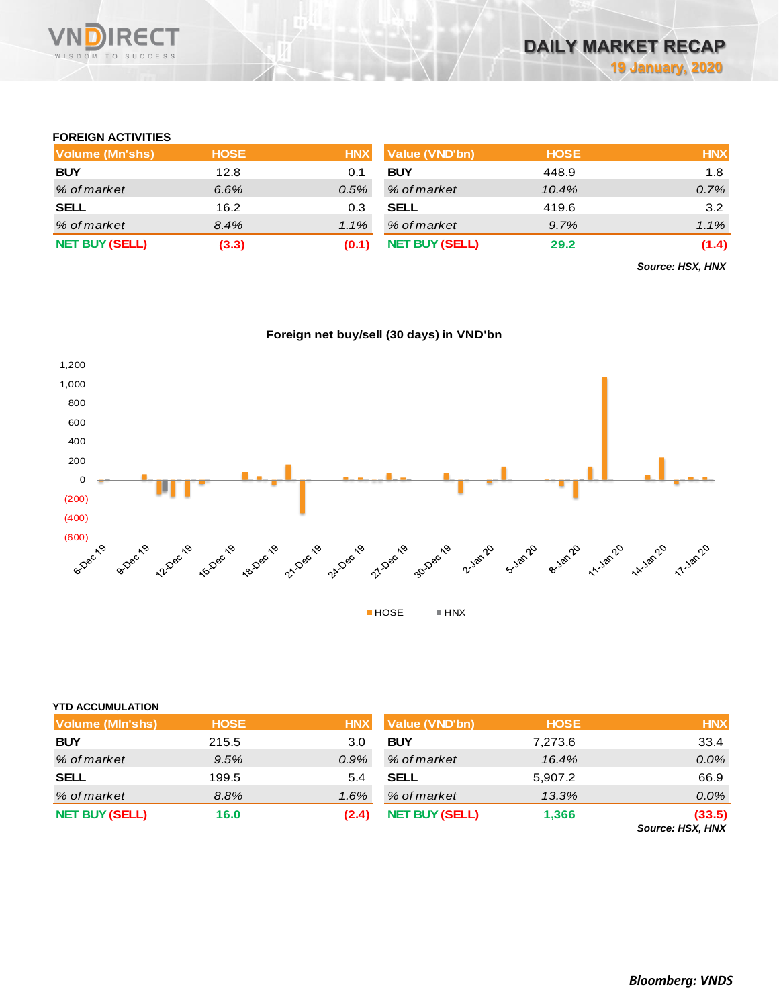

### **FOREIGN ACTIVITIES**

| <b>Volume (Mn'shs)</b> | <b>HOSE</b> | <b>HNX</b> | <b>Value (VND'bn)</b> | <b>HOSE</b> | <b>HNX</b> |
|------------------------|-------------|------------|-----------------------|-------------|------------|
| <b>BUY</b>             | 12.8        | 0.1        | <b>BUY</b>            | 448.9       | 1.8        |
| % of market            | 6.6%        | 0.5%       | % of market           | 10.4%       | 0.7%       |
| <b>SELL</b>            | 16.2        | 0.3        | <b>SELL</b>           | 419.6       | 3.2        |
| % of market            | 8.4%        | $1.1\%$    | % of market           | 9.7%        | $1.1\%$    |
| <b>NET BUY (SELL)</b>  | (3.3)       | (0.1)      | <b>NET BUY (SELL)</b> | 29.2        | (1.4)      |

*Source: HSX, HNX*





# **YTD ACCUMULATION**

| Volume (MIn'shs)      | <b>HOSE</b> | <b>HNX</b> | Value (VND'bn)        | <b>HOSE</b> | <b>HNX</b>                 |
|-----------------------|-------------|------------|-----------------------|-------------|----------------------------|
| <b>BUY</b>            | 215.5       | 3.0        | <b>BUY</b>            | 7.273.6     | 33.4                       |
| % of market           | 9.5%        | $0.9\%$    | % of market           | 16.4%       | $0.0\%$                    |
| <b>SELL</b>           | 199.5       | 5.4        | <b>SELL</b>           | 5,907.2     | 66.9                       |
| % of market           | 8.8%        | $1.6\%$    | % of market           | 13.3%       | $0.0\%$                    |
| <b>NET BUY (SELL)</b> | 16.0        | (2.4)      | <b>NET BUY (SELL)</b> | 1,366       | (33.5)<br>Carmon, HOV HAIV |

*Source: HSX, HNX*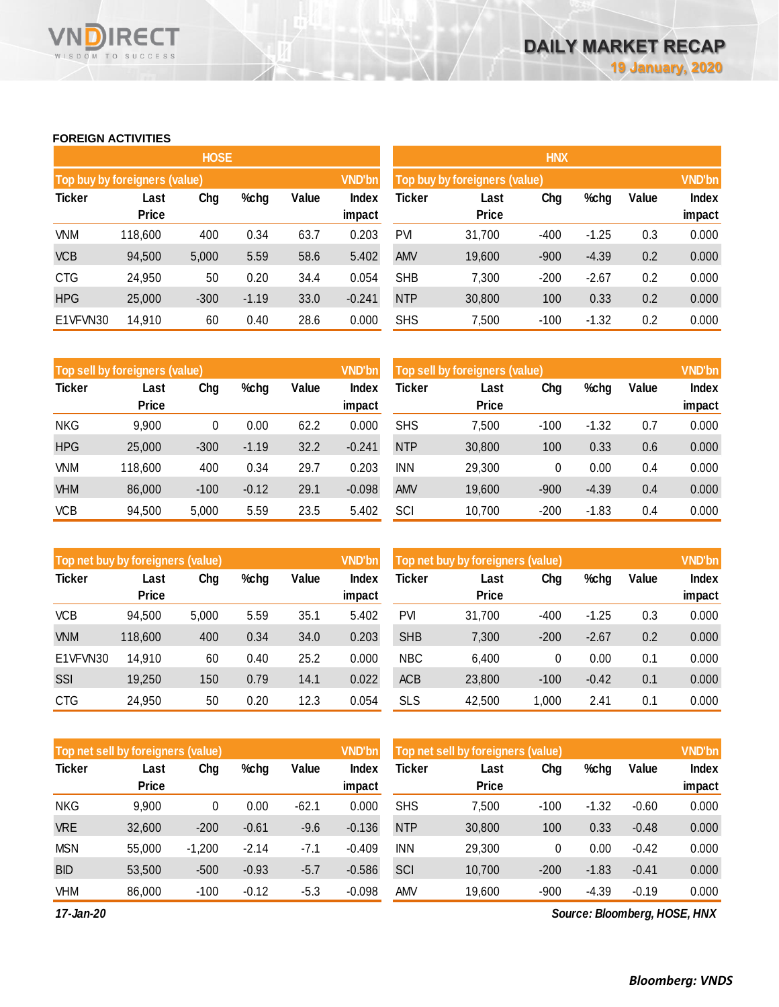### **FOREIGN ACTIVITIES**

WISDOM TO SUCCESS

**RECT** 

VND

|               |                               | <b>HOSE</b> |         |       |                        | <b>HNX</b>                    |                      |        |               |       |                        |  |
|---------------|-------------------------------|-------------|---------|-------|------------------------|-------------------------------|----------------------|--------|---------------|-------|------------------------|--|
|               | Top buy by foreigners (value) |             |         |       | <b>VND'bn</b>          | Top buy by foreigners (value) |                      |        | <b>VND'bn</b> |       |                        |  |
| <b>Ticker</b> | Last<br><b>Price</b>          | Chg         | %chg    | Value | <b>Index</b><br>impact | <b>Ticker</b>                 | Last<br><b>Price</b> | Chg    | %chg          | Value | <b>Index</b><br>impact |  |
| <b>VNM</b>    | 118,600                       | 400         | 0.34    | 63.7  | 0.203                  | <b>PVI</b>                    | 31,700               | $-400$ | $-1.25$       | 0.3   | 0.000                  |  |
| <b>VCB</b>    | 94,500                        | 5,000       | 5.59    | 58.6  | 5.402                  | <b>AMV</b>                    | 19,600               | $-900$ | $-4.39$       | 0.2   | 0.000                  |  |
| <b>CTG</b>    | 24,950                        | 50          | 0.20    | 34.4  | 0.054                  | <b>SHB</b>                    | 7,300                | $-200$ | $-2.67$       | 0.2   | 0.000                  |  |
| <b>HPG</b>    | 25,000                        | $-300$      | $-1.19$ | 33.0  | $-0.241$               | <b>NTP</b>                    | 30,800               | 100    | 0.33          | 0.2   | 0.000                  |  |
| E1VFVN30      | 14,910                        | 60          | 0.40    | 28.6  | 0.000                  | <b>SHS</b>                    | 7,500                | $-100$ | $-1.32$       | 0.2   | 0.000                  |  |

|               | Top sell by foreigners (value) |        |         |       | <b>VND'bn</b> | Top sell by foreigners (value) |              |        |         |       | <b>VND'bn</b> |
|---------------|--------------------------------|--------|---------|-------|---------------|--------------------------------|--------------|--------|---------|-------|---------------|
| <b>Ticker</b> | Last<br><b>Price</b>           | Chg    | %chg    | Value | <b>Index</b>  | Ticker                         | Last         | Chg    | %chg    | Value | Index         |
|               |                                |        |         |       | impact        |                                | <b>Price</b> |        |         |       | impact        |
| <b>NKG</b>    | 9,900                          | 0      | 0.00    | 62.2  | 0.000         | <b>SHS</b>                     | 7,500        | $-100$ | $-1.32$ | 0.7   | 0.000         |
| <b>HPG</b>    | 25,000                         | $-300$ | $-1.19$ | 32.2  | $-0.241$      | <b>NTP</b>                     | 30,800       | 100    | 0.33    | 0.6   | 0.000         |
| VNM           | 118,600                        | 400    | 0.34    | 29.7  | 0.203         | <b>INN</b>                     | 29,300       | 0      | 0.00    | 0.4   | 0.000         |
| <b>VHM</b>    | 86,000                         | $-100$ | $-0.12$ | 29.1  | $-0.098$      | <b>AMV</b>                     | 19,600       | $-900$ | $-4.39$ | 0.4   | 0.000         |
| <b>VCB</b>    | 94,500                         | 5,000  | 5.59    | 23.5  | 5.402         | SCI                            | 10,700       | $-200$ | $-1.83$ | 0.4   | 0.000         |

| Top net buy by foreigners (value)<br><b>Ticker</b> |     |       |       |                 |               | Top net buy by foreigners (value) |        |         |       |                        |
|----------------------------------------------------|-----|-------|-------|-----------------|---------------|-----------------------------------|--------|---------|-------|------------------------|
| Last<br><b>Price</b>                               | Chg | %chg  | Value | Index<br>impact | Ticker        | Last<br><b>Price</b>              | Chg    | %chg    | Value | <b>Index</b><br>impact |
| 94,500                                             |     | 5.59  | 35.1  | 5.402           | <b>PVI</b>    | 31,700                            | $-400$ | $-1.25$ | 0.3   | 0.000                  |
| 118,600                                            | 400 | 0.34  | 34.0  | 0.203           | <b>SHB</b>    | 7,300                             | $-200$ | $-2.67$ | 0.2   | 0.000                  |
| 14,910                                             | 60  | 0.40  | 25.2  | 0.000           | <b>NBC</b>    | 6,400                             | 0      | 0.00    | 0.1   | 0.000                  |
| 19,250                                             | 150 | 0.79  | 14.1  | 0.022           | <b>ACB</b>    | 23,800                            | $-100$ | $-0.42$ | 0.1   | 0.000                  |
| 24,950                                             | 50  | 0.20  | 12.3  | 0.054           | <b>SLS</b>    | 42,500                            | 1,000  | 2.41    | 0.1   | 0.000                  |
|                                                    |     | 5,000 |       |                 | <b>VND'bn</b> |                                   |        |         |       |                        |

| Top net sell by foreigners (value) |              |          |         |         | <b>VND'bn</b> | Top net sell by foreigners (value) |              | <b>VND'bn</b> |         |         |        |
|------------------------------------|--------------|----------|---------|---------|---------------|------------------------------------|--------------|---------------|---------|---------|--------|
| <b>Ticker</b>                      | Last         | Chg      | %chg    | Value   | Index         | Ticker                             | Last         | Chg           | %chg    | Value   | Index  |
|                                    | <b>Price</b> |          |         |         | impact        |                                    | <b>Price</b> |               |         |         | impact |
| <b>NKG</b>                         | 9,900        | 0        | 0.00    | $-62.1$ | 0.000         | <b>SHS</b>                         | 7,500        | $-100$        | $-1.32$ | $-0.60$ | 0.000  |
| <b>VRE</b>                         | 32,600       | $-200$   | $-0.61$ | $-9.6$  | $-0.136$      | <b>NTP</b>                         | 30,800       | 100           | 0.33    | $-0.48$ | 0.000  |
| <b>MSN</b>                         | 55,000       | $-1,200$ | $-2.14$ | -7.1    | $-0.409$      | <b>INN</b>                         | 29,300       | 0             | 0.00    | $-0.42$ | 0.000  |
| <b>BID</b>                         | 53,500       | $-500$   | $-0.93$ | $-5.7$  | $-0.586$      | SCI                                | 10,700       | $-200$        | $-1.83$ | $-0.41$ | 0.000  |
| <b>VHM</b>                         | 86,000       | $-100$   | $-0.12$ | $-5.3$  | $-0.098$      | AMV                                | 19,600       | $-900$        | $-4.39$ | $-0.19$ | 0.000  |

*17-Jan-20*

*Source: Bloomberg, HOSE, HNX*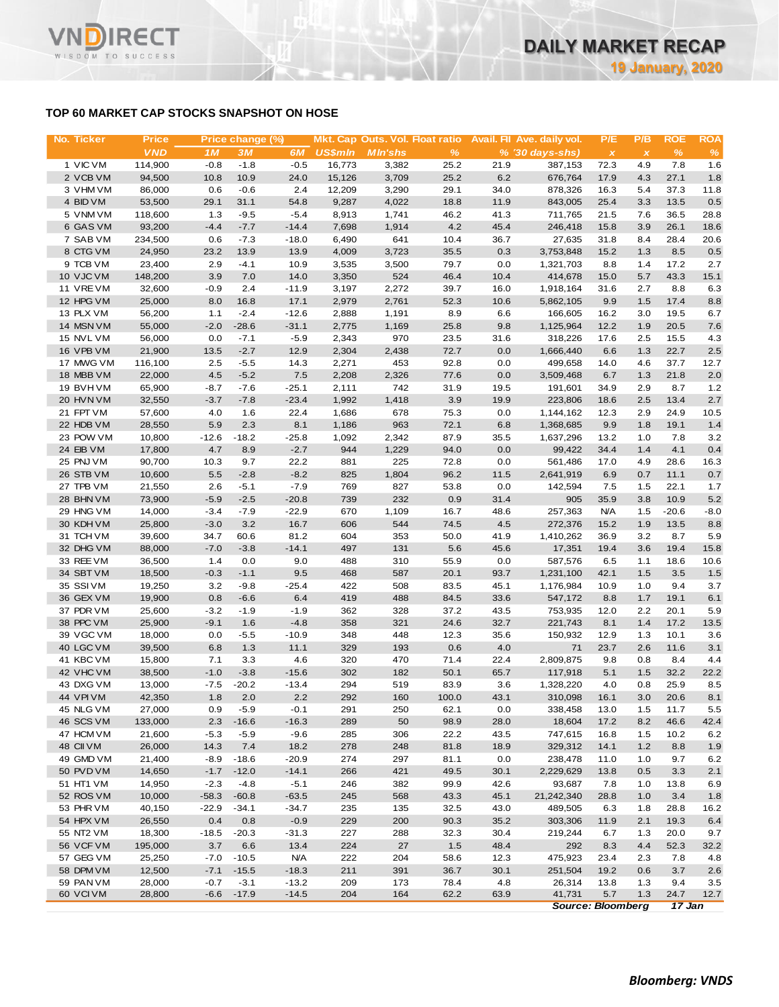# **TOP 60 MARKET CAP STOCKS SNAPSHOT ON HOSE**

| No. Ticker             | <b>Price</b>      |                  | Price change (%) |                    |                | Mkt. Cap Outs. Vol. Float ratio |               |              | Avail. Fil Ave. daily vol. | P/E          | P/B          | <b>ROE</b>   | <b>ROA</b>   |
|------------------------|-------------------|------------------|------------------|--------------------|----------------|---------------------------------|---------------|--------------|----------------------------|--------------|--------------|--------------|--------------|
|                        | <b>VND</b>        | 1M               | 3M               | 6M                 | <b>US\$mln</b> | <b>M</b> In'shs                 | $\frac{9}{6}$ |              | $% (30 days-shs)$          | $\pmb{\chi}$ | $\pmb{\chi}$ | %            | $\%$         |
| 1 VIC VM               | 114,900           | $-0.8$           | $-1.8$           | $-0.5$             | 16,773         | 3,382                           | 25.2          | 21.9         | 387,153                    | 72.3         | 4.9          | 7.8          | 1.6          |
| 2 VCB VM               | 94,500            | 10.8             | 10.9             | 24.0               | 15,126         | 3,709                           | 25.2          | 6.2          | 676,764                    | 17.9         | 4.3          | 27.1         | 1.8          |
| 3 VHM VM               | 86,000            | 0.6              | $-0.6$           | 2.4                | 12,209         | 3,290                           | 29.1          | 34.0         | 878,326                    | 16.3         | 5.4          | 37.3         | 11.8         |
| 4 BID VM               | 53,500            | 29.1             | 31.1             | 54.8               | 9,287          | 4,022                           | 18.8          | 11.9         | 843,005                    | 25.4         | 3.3          | 13.5         | 0.5          |
| 5 VNM VM<br>6 GAS VM   | 118,600           | 1.3              | $-9.5$           | $-5.4$             | 8,913          | 1,741                           | 46.2<br>4.2   | 41.3         | 711,765                    | 21.5         | 7.6          | 36.5         | 28.8         |
| 7 SAB VM               | 93,200<br>234,500 | $-4.4$<br>0.6    | $-7.7$<br>$-7.3$ | $-14.4$<br>$-18.0$ | 7,698<br>6,490 | 1,914<br>641                    | 10.4          | 45.4<br>36.7 | 246,418<br>27,635          | 15.8<br>31.8 | 3.9<br>8.4   | 26.1<br>28.4 | 18.6<br>20.6 |
| 8 CTG VM               | 24,950            | 23.2             | 13.9             | 13.9               | 4,009          | 3,723                           | 35.5          | 0.3          | 3,753,848                  | 15.2         | 1.3          | 8.5          | 0.5          |
| 9 TCB VM               | 23,400            | 2.9              | $-4.1$           | 10.9               | 3,535          | 3,500                           | 79.7          | 0.0          | 1,321,703                  | 8.8          | 1.4          | 17.2         | 2.7          |
| 10 VJC VM              | 148,200           | 3.9              | 7.0              | 14.0               | 3,350          | 524                             | 46.4          | 10.4         | 414,678                    | 15.0         | 5.7          | 43.3         | 15.1         |
| 11 VRE VM              | 32,600            | $-0.9$           | 2.4              | $-11.9$            | 3,197          | 2,272                           | 39.7          | 16.0         | 1,918,164                  | 31.6         | 2.7          | 8.8          | 6.3          |
| 12 HPG VM              | 25,000            | 8.0              | 16.8             | 17.1               | 2,979          | 2,761                           | 52.3          | 10.6         | 5,862,105                  | 9.9          | 1.5          | 17.4         | 8.8          |
| 13 PLX VM              | 56,200            | 1.1              | $-2.4$           | $-12.6$            | 2,888          | 1,191                           | 8.9           | 6.6          | 166,605                    | 16.2         | 3.0          | 19.5         | 6.7          |
| 14 MSN VM              | 55,000            | $-2.0$           | $-28.6$          | $-31.1$            | 2,775          | 1,169                           | 25.8          | 9.8          | 1,125,964                  | 12.2         | 1.9          | 20.5         | 7.6          |
| 15 NVL VM              | 56,000            | 0.0              | $-7.1$           | $-5.9$             | 2,343          | 970                             | 23.5          | 31.6         | 318,226                    | 17.6         | 2.5          | 15.5         | 4.3          |
| 16 VPB VM              | 21,900            | 13.5             | $-2.7$           | 12.9               | 2,304          | 2,438                           | 72.7          | 0.0          | 1,666,440                  | 6.6          | 1.3          | 22.7         | 2.5          |
| 17 MWG VM              | 116,100           | 2.5              | $-5.5$           | 14.3               | 2,271          | 453                             | 92.8          | 0.0          | 499,658                    | 14.0         | 4.6          | 37.7         | 12.7         |
| 18 MBB VM              | 22,000            | 4.5              | $-5.2$           | 7.5                | 2,208          | 2,326                           | 77.6          | 0.0          | 3,509,468                  | 6.7          | 1.3          | 21.8         | 2.0          |
| 19 BVHVM               | 65,900            | $-8.7$           | $-7.6$           | $-25.1$            | 2,111          | 742                             | 31.9          | 19.5         | 191,601                    | 34.9         | 2.9          | 8.7          | 1.2          |
| 20 HVN VM              | 32,550            | $-3.7$           | $-7.8$           | $-23.4$            | 1,992          | 1,418                           | 3.9           | 19.9         | 223,806                    | 18.6         | 2.5          | 13.4         | 2.7          |
| 21 FPT VM              | 57,600            | 4.0              | 1.6              | 22.4               | 1,686          | 678                             | 75.3          | 0.0          | 1,144,162<br>1,368,685     | 12.3         | 2.9          | 24.9         | 10.5         |
| 22 HDB VM<br>23 POW VM | 28,550<br>10,800  | 5.9<br>$-12.6$   | 2.3<br>$-18.2$   | 8.1<br>$-25.8$     | 1,186<br>1,092 | 963<br>2,342                    | 72.1<br>87.9  | 6.8<br>35.5  | 1,637,296                  | 9.9<br>13.2  | 1.8<br>1.0   | 19.1<br>7.8  | 1.4<br>3.2   |
| 24 EIB VM              | 17,800            | 4.7              | 8.9              | $-2.7$             | 944            | 1,229                           | 94.0          | 0.0          | 99,422                     | 34.4         | 1.4          | 4.1          | 0.4          |
| 25 PNJ VM              | 90,700            | 10.3             | 9.7              | 22.2               | 881            | 225                             | 72.8          | 0.0          | 561,486                    | 17.0         | 4.9          | 28.6         | 16.3         |
| 26 STB VM              | 10,600            | 5.5              | $-2.8$           | $-8.2$             | 825            | 1,804                           | 96.2          | 11.5         | 2,641,919                  | 6.9          | 0.7          | 11.1         | 0.7          |
| 27 TPB VM              | 21,550            | 2.6              | $-5.1$           | $-7.9$             | 769            | 827                             | 53.8          | 0.0          | 142,594                    | 7.5          | 1.5          | 22.1         | 1.7          |
| 28 BHN VM              | 73,900            | $-5.9$           | $-2.5$           | $-20.8$            | 739            | 232                             | 0.9           | 31.4         | 905                        | 35.9         | 3.8          | 10.9         | 5.2          |
| 29 HNG VM              | 14,000            | $-3.4$           | $-7.9$           | $-22.9$            | 670            | 1,109                           | 16.7          | 48.6         | 257,363                    | <b>N/A</b>   | 1.5          | $-20.6$      | $-8.0$       |
| 30 KDH VM              | 25,800            | $-3.0$           | 3.2              | 16.7               | 606            | 544                             | 74.5          | 4.5          | 272,376                    | 15.2         | 1.9          | 13.5         | 8.8          |
| 31 TCH VM              | 39,600            | 34.7             | 60.6             | 81.2               | 604            | 353                             | 50.0          | 41.9         | 1,410,262                  | 36.9         | 3.2          | 8.7          | 5.9          |
| 32 DHG VM              | 88,000            | $-7.0$           | $-3.8$           | $-14.1$            | 497            | 131                             | 5.6           | 45.6         | 17,351                     | 19.4         | 3.6          | 19.4         | 15.8         |
| 33 REE VM              | 36,500            | 1.4              | 0.0              | 9.0                | 488            | 310                             | 55.9          | 0.0          | 587,576                    | 6.5          | 1.1          | 18.6         | 10.6         |
| 34 SBT VM              | 18,500            | $-0.3$           | $-1.1$           | 9.5                | 468            | 587                             | 20.1          | 93.7         | 1,231,100                  | 42.1         | 1.5          | 3.5          | 1.5          |
| 35 SSIVM               | 19,250            | 3.2              | $-9.8$           | $-25.4$            | 422            | 508                             | 83.5          | 45.1         | 1,176,984                  | 10.9         | 1.0          | 9.4          | 3.7          |
| 36 GEX VM              | 19,900            | 0.8              | $-6.6$           | 6.4                | 419            | 488                             | 84.5          | 33.6         | 547,172                    | 8.8          | 1.7          | 19.1         | 6.1          |
| 37 PDR VM<br>38 PPC VM | 25,600<br>25,900  | $-3.2$<br>$-9.1$ | $-1.9$<br>1.6    | $-1.9$<br>$-4.8$   | 362<br>358     | 328<br>321                      | 37.2<br>24.6  | 43.5<br>32.7 | 753,935<br>221,743         | 12.0<br>8.1  | 2.2<br>1.4   | 20.1<br>17.2 | 5.9          |
| 39 VGC VM              | 18,000            | 0.0              | $-5.5$           | $-10.9$            | 348            | 448                             | 12.3          | 35.6         | 150,932                    | 12.9         | 1.3          | 10.1         | 13.5<br>3.6  |
| 40 LGC VM              | 39,500            | 6.8              | 1.3              | 11.1               | 329            | 193                             | 0.6           | 4.0          | 71                         | 23.7         | 2.6          | 11.6         | 3.1          |
| 41 KBC VM              | 15,800            | 7.1              | 3.3              | 4.6                | 320            | 470                             | 71.4          | 22.4         | 2,809,875                  | 9.8          | 0.8          | 8.4          | 4.4          |
| 42 VHC VM              | 38,500            | $-1.0$           | $-3.8$           | $-15.6$            | 302            | 182                             | 50.1          | 65.7         | 117,918                    | 5.1          | $1.5$        | 32.2         | 22.2         |
| 43 DXG VM              | 13,000            | $-7.5$           | $-20.2$          | $-13.4$            | 294            | 519                             | 83.9          | 3.6          | 1,328,220                  | 4.0          | 0.8          | 25.9         | 8.5          |
| 44 VPI VM              | 42,350            | 1.8              | 2.0              | 2.2                | 292            | 160                             | 100.0         | 43.1         | 310,098                    | 16.1         | 3.0          | 20.6         | 8.1          |
| 45 NLG VM              | 27,000            | 0.9              | $-5.9$           | $-0.1$             | 291            | 250                             | 62.1          | 0.0          | 338,458                    | 13.0         | 1.5          | 11.7         | 5.5          |
| 46 SCS VM              | 133,000           | 2.3              | $-16.6$          | $-16.3$            | 289            | 50                              | 98.9          | 28.0         | 18,604                     | 17.2         | 8.2          | 46.6         | 42.4         |
| 47 HCM VM              | 21,600            | $-5.3$           | $-5.9$           | $-9.6$             | 285            | 306                             | 22.2          | 43.5         | 747,615                    | 16.8         | 1.5          | 10.2         | 6.2          |
| 48 CII VM              | 26,000            | 14.3             | 7.4              | 18.2               | 278            | 248                             | 81.8          | 18.9         | 329,312                    | 14.1         | 1.2          | 8.8          | 1.9          |
| 49 GMD VM              | 21,400            | $-8.9$           | $-18.6$          | $-20.9$            | 274            | 297                             | 81.1          | 0.0          | 238,478                    | 11.0         | 1.0          | 9.7          | 6.2          |
| 50 PVD VM              | 14,650            | $-1.7$           | $-12.0$          | $-14.1$            | 266            | 421                             | 49.5          | 30.1         | 2,229,629                  | 13.8         | 0.5          | 3.3          | 2.1          |
| 51 HT1 VM              | 14,950            | $-2.3$           | $-4.8$           | $-5.1$             | 246            | 382                             | 99.9          | 42.6         | 93,687                     | 7.8          | 1.0          | 13.8         | 6.9          |
| 52 ROS VM              | 10,000            | $-58.3$          | $-60.8$          | $-63.5$            | 245            | 568                             | 43.3          | 45.1         | 21,242,340                 | 28.8         | 1.0          | 3.4          | 1.8          |
| 53 PHR VM              | 40,150            | $-22.9$          | $-34.1$          | $-34.7$            | 235            | 135                             | 32.5          | 43.0         | 489,505                    | 6.3          | 1.8          | 28.8         | 16.2         |
| 54 HPX VM              | 26,550            | 0.4              | 0.8              | $-0.9$             | 229            | 200                             | 90.3          | 35.2         | 303,306                    | 11.9         | 2.1          | 19.3         | 6.4          |
| 55 NT2 VM              | 18,300            | $-18.5$          | $-20.3$          | $-31.3$            | 227            | 288                             | 32.3          | 30.4         | 219,244                    | 6.7          | 1.3          | 20.0         | 9.7          |
| 56 VCF VM<br>57 GEG VM | 195,000           | 3.7<br>$-7.0$    | 6.6<br>$-10.5$   | 13.4<br><b>N/A</b> | 224<br>222     | 27<br>204                       | 1.5           | 48.4<br>12.3 | 292<br>475,923             | 8.3          | 4.4          | 52.3         | 32.2         |
| 58 DPM VM              | 25,250<br>12,500  | $-7.1$           | $-15.5$          | $-18.3$            | 211            | 391                             | 58.6<br>36.7  | 30.1         | 251,504                    | 23.4<br>19.2 | 2.3<br>0.6   | 7.8<br>3.7   | 4.8<br>2.6   |
| 59 PAN VM              | 28,000            | $-0.7$           | $-3.1$           | $-13.2$            | 209            | 173                             | 78.4          | 4.8          | 26,314                     | 13.8         | 1.3          | 9.4          | 3.5          |
| 60 VCI VM              | 28,800            | $-6.6$           | $-17.9$          | $-14.5$            | 204            | 164                             | 62.2          | 63.9         | 41,731                     | 5.7          | 1.3          | 24.7         | 12.7         |
|                        |                   |                  |                  |                    |                |                                 |               |              |                            |              |              |              |              |

*Source: Bloomberg 17 Jan*